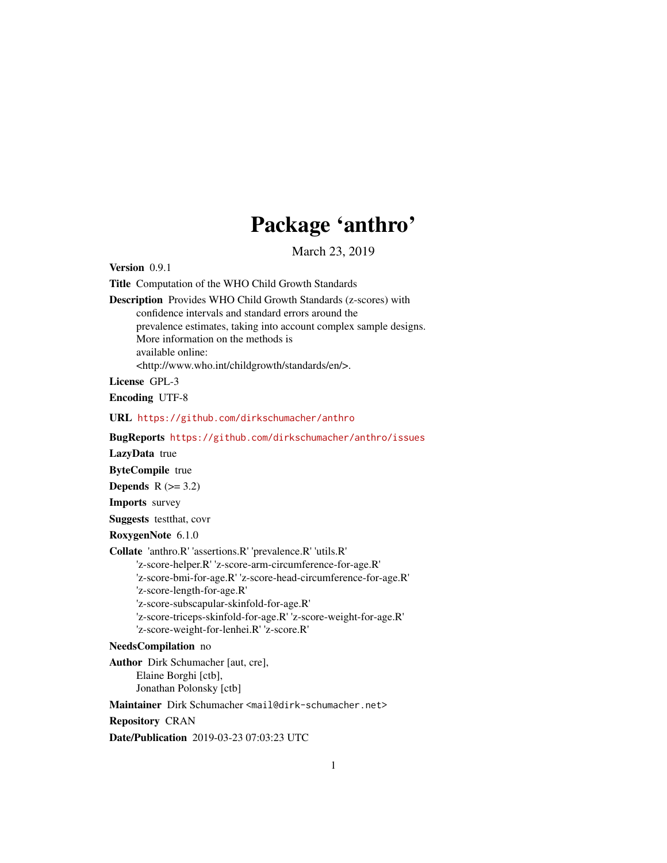## Package 'anthro'

March 23, 2019

Version 0.9.1

Title Computation of the WHO Child Growth Standards

Description Provides WHO Child Growth Standards (z-scores) with confidence intervals and standard errors around the prevalence estimates, taking into account complex sample designs. More information on the methods is available online: <http://www.who.int/childgrowth/standards/en/>.

License GPL-3

Encoding UTF-8

URL <https://github.com/dirkschumacher/anthro>

BugReports <https://github.com/dirkschumacher/anthro/issues>

LazyData true

ByteCompile true

Depends  $R$  ( $>= 3.2$ )

Imports survey

Suggests testthat, covr

RoxygenNote 6.1.0

Collate 'anthro.R' 'assertions.R' 'prevalence.R' 'utils.R'

'z-score-helper.R' 'z-score-arm-circumference-for-age.R' 'z-score-bmi-for-age.R' 'z-score-head-circumference-for-age.R'

'z-score-length-for-age.R'

'z-score-subscapular-skinfold-for-age.R'

'z-score-triceps-skinfold-for-age.R' 'z-score-weight-for-age.R'

```
'z-score-weight-for-lenhei.R' 'z-score.R'
```
NeedsCompilation no

Author Dirk Schumacher [aut, cre], Elaine Borghi [ctb], Jonathan Polonsky [ctb]

Maintainer Dirk Schumacher <mail@dirk-schumacher.net>

Repository CRAN

Date/Publication 2019-03-23 07:03:23 UTC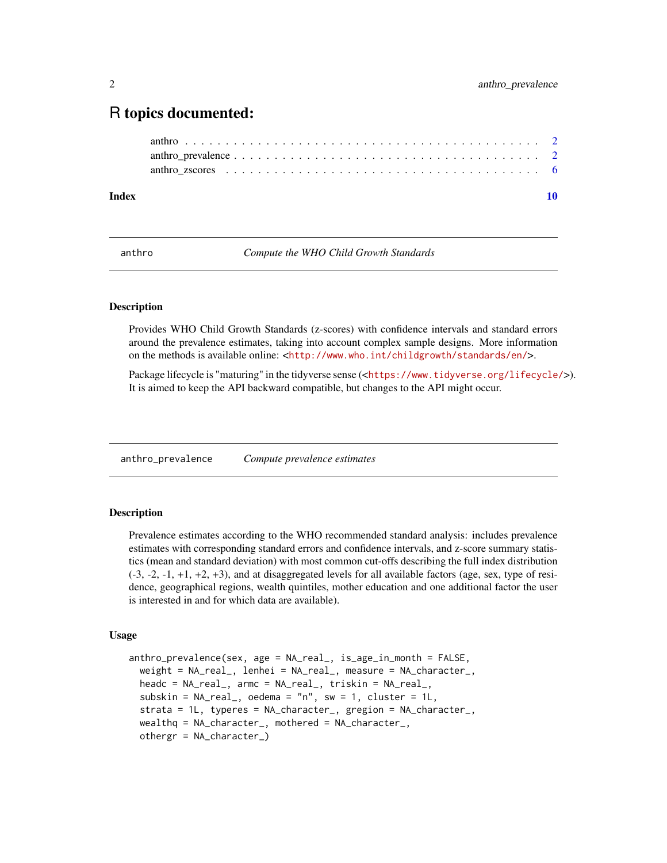### <span id="page-1-0"></span>R topics documented:

| Index |  |
|-------|--|
|       |  |
|       |  |
|       |  |

anthro *Compute the WHO Child Growth Standards*

#### Description

Provides WHO Child Growth Standards (z-scores) with confidence intervals and standard errors around the prevalence estimates, taking into account complex sample designs. More information on the methods is available online: <<http://www.who.int/childgrowth/standards/en/>>.

Package lifecycle is "maturing" in the tidyverse sense (<<https://www.tidyverse.org/lifecycle/>>). It is aimed to keep the API backward compatible, but changes to the API might occur.

<span id="page-1-1"></span>anthro\_prevalence *Compute prevalence estimates*

#### Description

Prevalence estimates according to the WHO recommended standard analysis: includes prevalence estimates with corresponding standard errors and confidence intervals, and z-score summary statistics (mean and standard deviation) with most common cut-offs describing the full index distribution (-3, -2, -1, +1, +2, +3), and at disaggregated levels for all available factors (age, sex, type of residence, geographical regions, wealth quintiles, mother education and one additional factor the user is interested in and for which data are available).

#### Usage

```
anthro_prevalence(sex, age = NA_real_, is_age_in_month = FALSE,
 weight = NA_real_, lenhei = NA_real_, measure = NA_character_,
 headc = NA_real_, armc = NA_real_, triskin = NA_real_,
 subskin = NA_{real}, oedema = "n", sw = 1, cluster = 1L,
 strata = 1L, typeres = NA_character_, gregion = NA_character_,
 wealthq = NA_character_, mothered = NA_character_,
 othergr = NA_character_)
```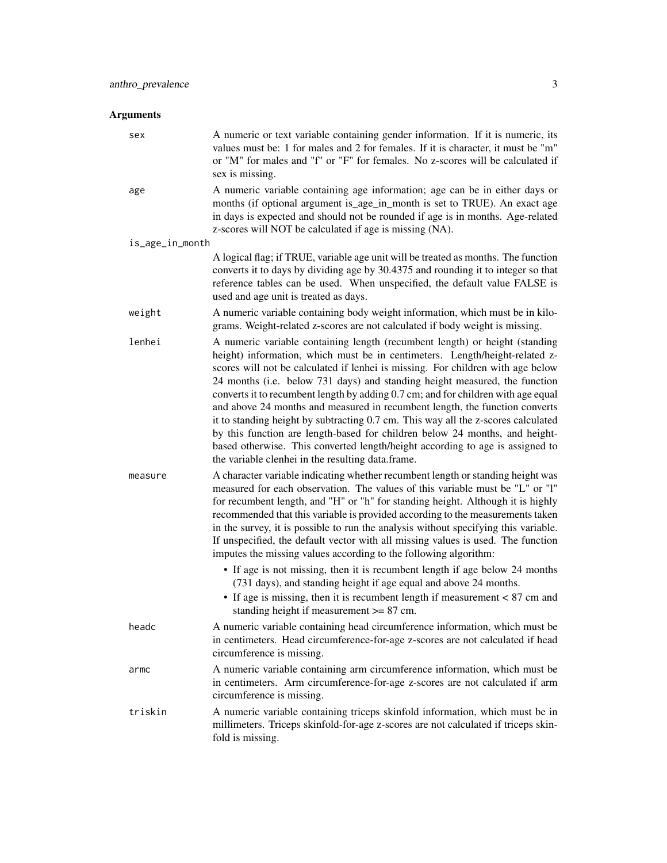#### Arguments

| sex             | A numeric or text variable containing gender information. If it is numeric, its<br>values must be: 1 for males and 2 for females. If it is character, it must be "m"<br>or "M" for males and "f" or "F" for females. No z-scores will be calculated if<br>sex is missing.                                                                                                                                                                                                                                                                                                                                                                                                                                                                                                                                                                                             |
|-----------------|-----------------------------------------------------------------------------------------------------------------------------------------------------------------------------------------------------------------------------------------------------------------------------------------------------------------------------------------------------------------------------------------------------------------------------------------------------------------------------------------------------------------------------------------------------------------------------------------------------------------------------------------------------------------------------------------------------------------------------------------------------------------------------------------------------------------------------------------------------------------------|
| age             | A numeric variable containing age information; age can be in either days or<br>months (if optional argument is_age_in_month is set to TRUE). An exact age<br>in days is expected and should not be rounded if age is in months. Age-related<br>z-scores will NOT be calculated if age is missing (NA).                                                                                                                                                                                                                                                                                                                                                                                                                                                                                                                                                                |
| is_age_in_month |                                                                                                                                                                                                                                                                                                                                                                                                                                                                                                                                                                                                                                                                                                                                                                                                                                                                       |
|                 | A logical flag; if TRUE, variable age unit will be treated as months. The function<br>converts it to days by dividing age by 30.4375 and rounding it to integer so that<br>reference tables can be used. When unspecified, the default value FALSE is<br>used and age unit is treated as days.                                                                                                                                                                                                                                                                                                                                                                                                                                                                                                                                                                        |
| weight          | A numeric variable containing body weight information, which must be in kilo-<br>grams. Weight-related z-scores are not calculated if body weight is missing.                                                                                                                                                                                                                                                                                                                                                                                                                                                                                                                                                                                                                                                                                                         |
| lenhei          | A numeric variable containing length (recumbent length) or height (standing<br>height) information, which must be in centimeters. Length/height-related z-<br>scores will not be calculated if lenhei is missing. For children with age below<br>24 months (i.e. below 731 days) and standing height measured, the function<br>converts it to recumbent length by adding 0.7 cm; and for children with age equal<br>and above 24 months and measured in recumbent length, the function converts<br>it to standing height by subtracting 0.7 cm. This way all the z-scores calculated<br>by this function are length-based for children below 24 months, and height-<br>based otherwise. This converted length/height according to age is assigned to<br>the variable clenhei in the resulting data.frame.                                                             |
| measure         | A character variable indicating whether recumbent length or standing height was<br>measured for each observation. The values of this variable must be "L" or "l"<br>for recumbent length, and "H" or "h" for standing height. Although it is highly<br>recommended that this variable is provided according to the measurements taken<br>in the survey, it is possible to run the analysis without specifying this variable.<br>If unspecified, the default vector with all missing values is used. The function<br>imputes the missing values according to the following algorithm:<br>• If age is not missing, then it is recumbent length if age below 24 months<br>(731 days), and standing height if age equal and above 24 months.<br>• If age is missing, then it is recumbent length if measurement $< 87$ cm and<br>standing height if measurement >= 87 cm. |
| headc           | A numeric variable containing head circumference information, which must be<br>in centimeters. Head circumference-for-age z-scores are not calculated if head<br>circumference is missing.                                                                                                                                                                                                                                                                                                                                                                                                                                                                                                                                                                                                                                                                            |
| armc            | A numeric variable containing arm circumference information, which must be<br>in centimeters. Arm circumference-for-age z-scores are not calculated if arm<br>circumference is missing.                                                                                                                                                                                                                                                                                                                                                                                                                                                                                                                                                                                                                                                                               |
| triskin         | A numeric variable containing triceps skinfold information, which must be in<br>millimeters. Triceps skinfold-for-age z-scores are not calculated if triceps skin-<br>fold is missing.                                                                                                                                                                                                                                                                                                                                                                                                                                                                                                                                                                                                                                                                                |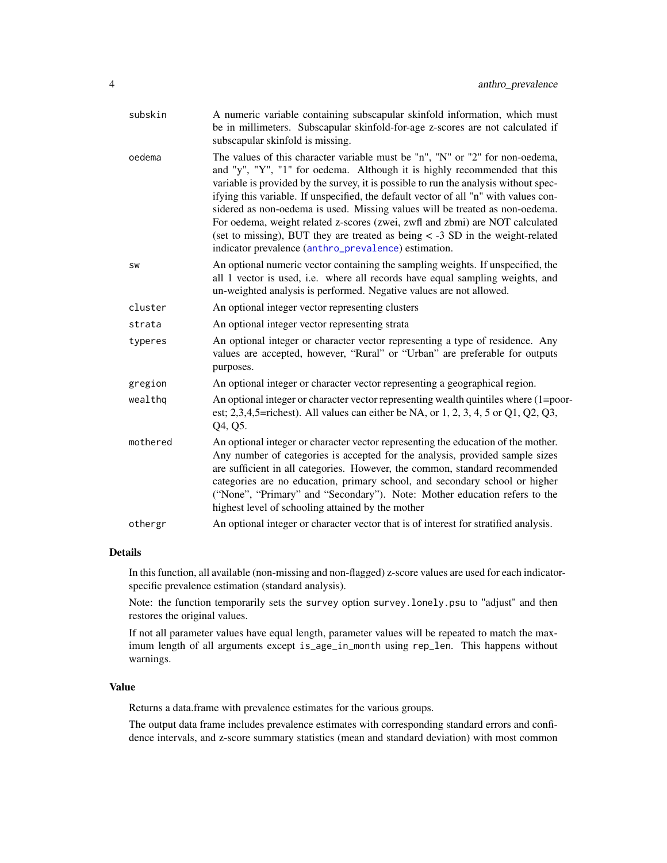<span id="page-3-0"></span>

| subskin   | A numeric variable containing subscapular skinfold information, which must<br>be in millimeters. Subscapular skinfold-for-age z-scores are not calculated if<br>subscapular skinfold is missing.                                                                                                                                                                                                                                                                                                                                                                                                                                                        |
|-----------|---------------------------------------------------------------------------------------------------------------------------------------------------------------------------------------------------------------------------------------------------------------------------------------------------------------------------------------------------------------------------------------------------------------------------------------------------------------------------------------------------------------------------------------------------------------------------------------------------------------------------------------------------------|
| oedema    | The values of this character variable must be "n", "N" or "2" for non-oedema,<br>and "y", "Y", "1" for oedema. Although it is highly recommended that this<br>variable is provided by the survey, it is possible to run the analysis without spec-<br>ifying this variable. If unspecified, the default vector of all "n" with values con-<br>sidered as non-oedema is used. Missing values will be treated as non-oedema.<br>For oedema, weight related z-scores (zwei, zwfl and zbmi) are NOT calculated<br>(set to missing), BUT they are treated as being $\lt$ -3 SD in the weight-related<br>indicator prevalence (anthro_prevalence) estimation. |
| <b>SW</b> | An optional numeric vector containing the sampling weights. If unspecified, the<br>all 1 vector is used, i.e. where all records have equal sampling weights, and<br>un-weighted analysis is performed. Negative values are not allowed.                                                                                                                                                                                                                                                                                                                                                                                                                 |
| cluster   | An optional integer vector representing clusters                                                                                                                                                                                                                                                                                                                                                                                                                                                                                                                                                                                                        |
| strata    | An optional integer vector representing strata                                                                                                                                                                                                                                                                                                                                                                                                                                                                                                                                                                                                          |
| typeres   | An optional integer or character vector representing a type of residence. Any<br>values are accepted, however, "Rural" or "Urban" are preferable for outputs<br>purposes.                                                                                                                                                                                                                                                                                                                                                                                                                                                                               |
| gregion   | An optional integer or character vector representing a geographical region.                                                                                                                                                                                                                                                                                                                                                                                                                                                                                                                                                                             |
| wealthq   | An optional integer or character vector representing wealth quintiles where (1=poor-<br>est; 2,3,4,5=richest). All values can either be NA, or $1, 2, 3, 4, 5$ or $Q1$ , $Q2$ , $Q3$ ,<br>Q4, Q5.                                                                                                                                                                                                                                                                                                                                                                                                                                                       |
| mothered  | An optional integer or character vector representing the education of the mother.<br>Any number of categories is accepted for the analysis, provided sample sizes<br>are sufficient in all categories. However, the common, standard recommended<br>categories are no education, primary school, and secondary school or higher<br>("None", "Primary" and "Secondary"). Note: Mother education refers to the<br>highest level of schooling attained by the mother                                                                                                                                                                                       |
| othergr   | An optional integer or character vector that is of interest for stratified analysis.                                                                                                                                                                                                                                                                                                                                                                                                                                                                                                                                                                    |

#### Details

In this function, all available (non-missing and non-flagged) z-score values are used for each indicatorspecific prevalence estimation (standard analysis).

Note: the function temporarily sets the survey option survey.lonely.psu to "adjust" and then restores the original values.

If not all parameter values have equal length, parameter values will be repeated to match the maximum length of all arguments except is\_age\_in\_month using rep\_len. This happens without warnings.

#### Value

Returns a data.frame with prevalence estimates for the various groups.

The output data frame includes prevalence estimates with corresponding standard errors and confidence intervals, and z-score summary statistics (mean and standard deviation) with most common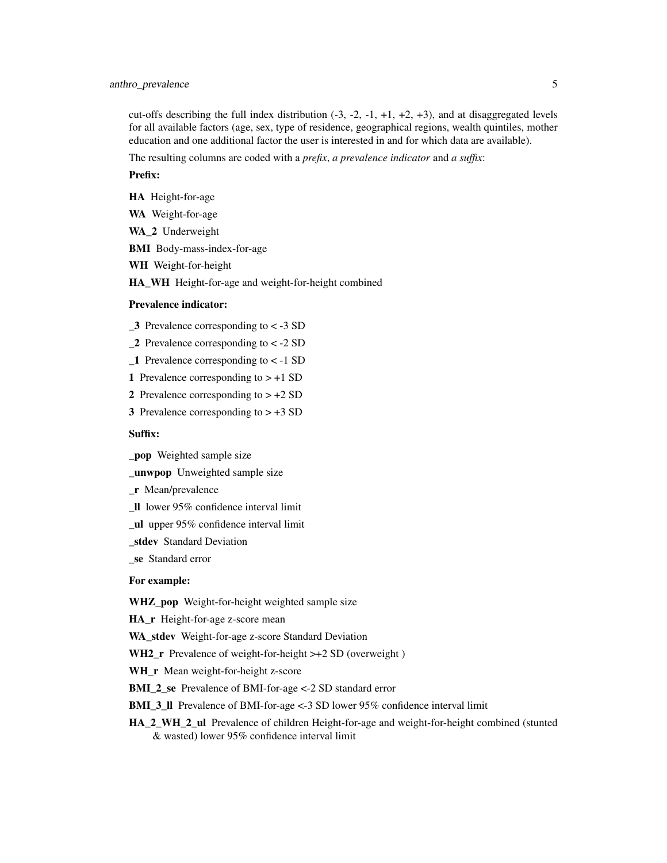cut-offs describing the full index distribution  $(-3, -2, -1, +1, +2, +3)$ , and at disaggregated levels for all available factors (age, sex, type of residence, geographical regions, wealth quintiles, mother education and one additional factor the user is interested in and for which data are available).

The resulting columns are coded with a *prefix*, *a prevalence indicator* and *a suffix*:

#### Prefix:

- HA Height-for-age
- WA Weight-for-age
- WA\_2 Underweight
- BMI Body-mass-index-for-age
- WH Weight-for-height

HA\_WH Height-for-age and weight-for-height combined

#### Prevalence indicator:

- $\overline{\mathbf{3}}$  Prevalence corresponding to < -3 SD
- $\angle$  2 Prevalence corresponding to < -2 SD
- $\angle$  1 Prevalence corresponding to < -1 SD
- 1 Prevalence corresponding to  $> +1$  SD
- 2 Prevalence corresponding to  $> +2$  SD
- 3 Prevalence corresponding to  $> +3$  SD

#### Suffix:

- \_pop Weighted sample size
- \_unwpop Unweighted sample size
- \_r Mean/prevalence
- \_ll lower 95% confidence interval limit
- \_ul upper 95% confidence interval limit
- stdev Standard Deviation
- se Standard error

#### For example:

WHZ\_pop Weight-for-height weighted sample size

HA r Height-for-age z-score mean

WA stdev Weight-for-age z-score Standard Deviation

- WH2<sub>\_</sub>r Prevalence of weight-for-height >+2 SD (overweight)
- WH\_r Mean weight-for-height z-score
- BMI\_2\_se Prevalence of BMI-for-age <-2 SD standard error

BMI\_3\_ll Prevalence of BMI-for-age <-3 SD lower 95% confidence interval limit

HA\_2\_WH\_2\_ul Prevalence of children Height-for-age and weight-for-height combined (stunted & wasted) lower 95% confidence interval limit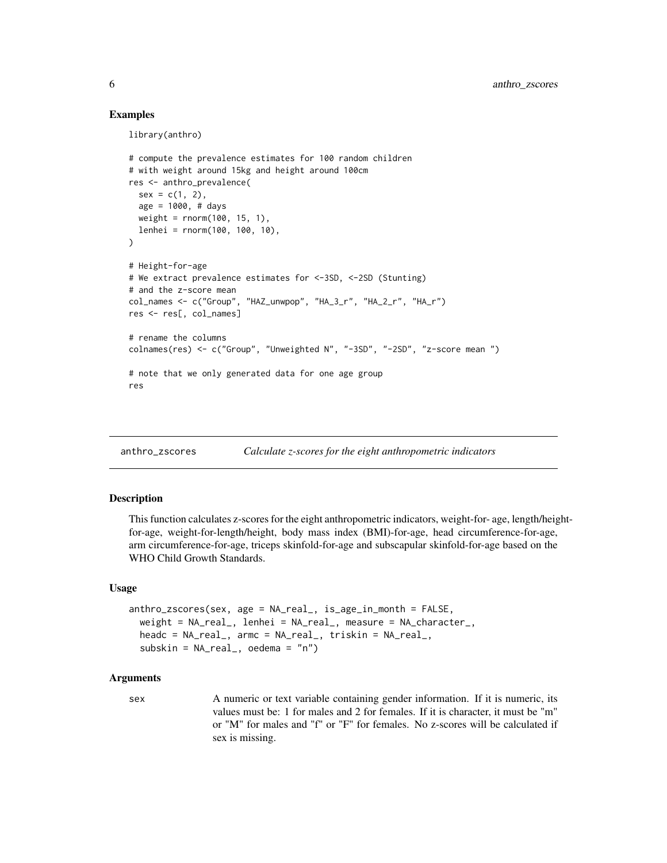#### Examples

library(anthro)

```
# compute the prevalence estimates for 100 random children
# with weight around 15kg and height around 100cm
res <- anthro_prevalence(
 sex = c(1, 2),age = 1000, # days
 weight = rnorm(100, 15, 1),lenhei = rnorm(100, 100, 10),
)
# Height-for-age
# We extract prevalence estimates for <-3SD, <-2SD (Stunting)
# and the z-score mean
col_names <- c("Group", "HAZ_unwpop", "HA_3_r", "HA_2_r", "HA_r")
res <- res[, col_names]
# rename the columns
colnames(res) <- c("Group", "Unweighted N", "-3SD", "-2SD", "z-score mean ")
# note that we only generated data for one age group
res
```
anthro\_zscores *Calculate z-scores for the eight anthropometric indicators*

#### Description

This function calculates z-scores for the eight anthropometric indicators, weight-for- age, length/heightfor-age, weight-for-length/height, body mass index (BMI)-for-age, head circumference-for-age, arm circumference-for-age, triceps skinfold-for-age and subscapular skinfold-for-age based on the WHO Child Growth Standards.

#### Usage

```
anthro_zscores(sex, age = NA_real_, is_age_in_month = FALSE,
 weight = NA_real_, lenhei = NA_real_, measure = NA_character_,
 headc = NA_real_, armc = NA_real_, triskin = NA_real_,
 subskin = NA_real_, oedema = "n")
```
#### Arguments

sex A numeric or text variable containing gender information. If it is numeric, its values must be: 1 for males and 2 for females. If it is character, it must be "m" or "M" for males and "f" or "F" for females. No z-scores will be calculated if sex is missing.

<span id="page-5-0"></span>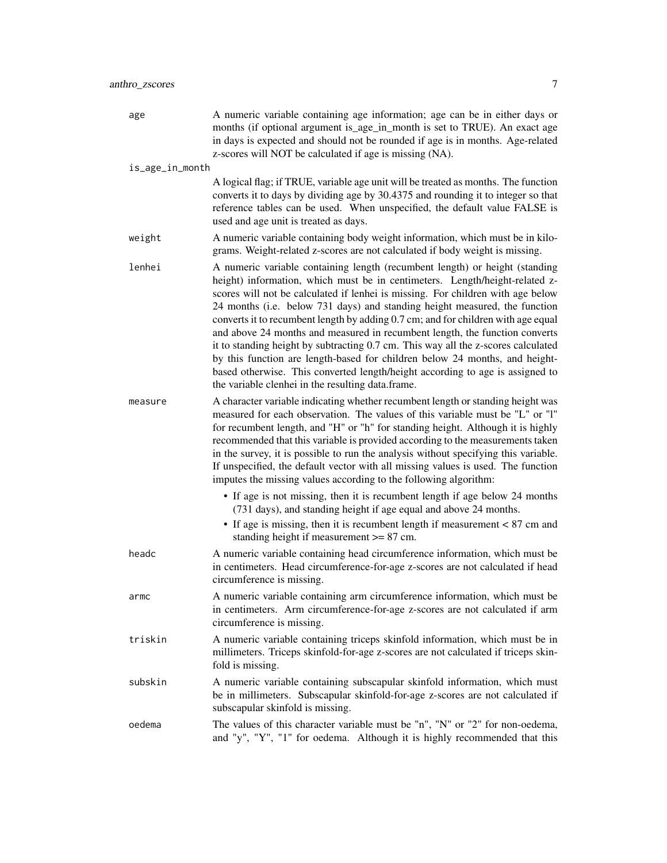| age             | A numeric variable containing age information; age can be in either days or<br>months (if optional argument is_age_in_month is set to TRUE). An exact age<br>in days is expected and should not be rounded if age is in months. Age-related<br>z-scores will NOT be calculated if age is missing (NA).                                                                                                                                                                                                                                                                                                                                                                                                                                                                                                                    |
|-----------------|---------------------------------------------------------------------------------------------------------------------------------------------------------------------------------------------------------------------------------------------------------------------------------------------------------------------------------------------------------------------------------------------------------------------------------------------------------------------------------------------------------------------------------------------------------------------------------------------------------------------------------------------------------------------------------------------------------------------------------------------------------------------------------------------------------------------------|
| is_age_in_month |                                                                                                                                                                                                                                                                                                                                                                                                                                                                                                                                                                                                                                                                                                                                                                                                                           |
|                 | A logical flag; if TRUE, variable age unit will be treated as months. The function<br>converts it to days by dividing age by 30.4375 and rounding it to integer so that<br>reference tables can be used. When unspecified, the default value FALSE is<br>used and age unit is treated as days.                                                                                                                                                                                                                                                                                                                                                                                                                                                                                                                            |
| weight          | A numeric variable containing body weight information, which must be in kilo-<br>grams. Weight-related z-scores are not calculated if body weight is missing.                                                                                                                                                                                                                                                                                                                                                                                                                                                                                                                                                                                                                                                             |
| lenhei          | A numeric variable containing length (recumbent length) or height (standing<br>height) information, which must be in centimeters. Length/height-related z-<br>scores will not be calculated if lenhei is missing. For children with age below<br>24 months (i.e. below 731 days) and standing height measured, the function<br>converts it to recumbent length by adding 0.7 cm; and for children with age equal<br>and above 24 months and measured in recumbent length, the function converts<br>it to standing height by subtracting 0.7 cm. This way all the z-scores calculated<br>by this function are length-based for children below 24 months, and height-<br>based otherwise. This converted length/height according to age is assigned to<br>the variable clenhei in the resulting data.frame.                 |
| measure         | A character variable indicating whether recumbent length or standing height was<br>measured for each observation. The values of this variable must be "L" or "l"<br>for recumbent length, and "H" or "h" for standing height. Although it is highly<br>recommended that this variable is provided according to the measurements taken<br>in the survey, it is possible to run the analysis without specifying this variable.<br>If unspecified, the default vector with all missing values is used. The function<br>imputes the missing values according to the following algorithm:<br>• If age is not missing, then it is recumbent length if age below 24 months<br>(731 days), and standing height if age equal and above 24 months.<br>• If age is missing, then it is recumbent length if measurement $< 87$ cm and |
| headc           | standing height if measurement $>= 87$ cm.<br>A numeric variable containing head circumference information, which must be<br>in centimeters. Head circumference-for-age z-scores are not calculated if head<br>circumference is missing.                                                                                                                                                                                                                                                                                                                                                                                                                                                                                                                                                                                  |
| armc            | A numeric variable containing arm circumference information, which must be<br>in centimeters. Arm circumference-for-age z-scores are not calculated if arm<br>circumference is missing.                                                                                                                                                                                                                                                                                                                                                                                                                                                                                                                                                                                                                                   |
| triskin         | A numeric variable containing triceps skinfold information, which must be in<br>millimeters. Triceps skinfold-for-age z-scores are not calculated if triceps skin-<br>fold is missing.                                                                                                                                                                                                                                                                                                                                                                                                                                                                                                                                                                                                                                    |
| subskin         | A numeric variable containing subscapular skinfold information, which must<br>be in millimeters. Subscapular skinfold-for-age z-scores are not calculated if<br>subscapular skinfold is missing.                                                                                                                                                                                                                                                                                                                                                                                                                                                                                                                                                                                                                          |
| oedema          | The values of this character variable must be "n", "N" or "2" for non-oedema,<br>and "y", "Y", "1" for oedema. Although it is highly recommended that this                                                                                                                                                                                                                                                                                                                                                                                                                                                                                                                                                                                                                                                                |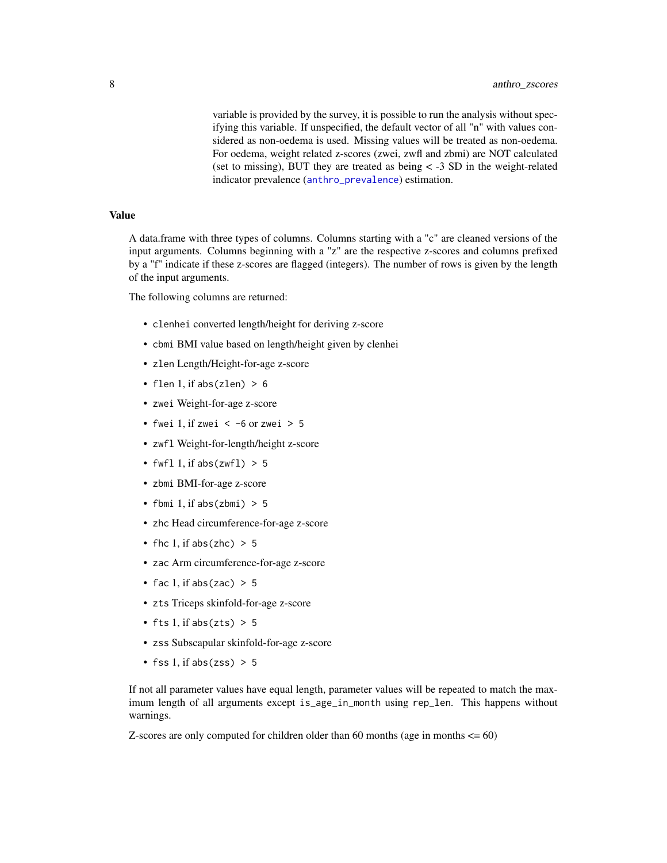<span id="page-7-0"></span>variable is provided by the survey, it is possible to run the analysis without specifying this variable. If unspecified, the default vector of all "n" with values considered as non-oedema is used. Missing values will be treated as non-oedema. For oedema, weight related z-scores (zwei, zwfl and zbmi) are NOT calculated (set to missing), BUT they are treated as being < -3 SD in the weight-related indicator prevalence ([anthro\\_prevalence](#page-1-1)) estimation.

#### Value

A data.frame with three types of columns. Columns starting with a "c" are cleaned versions of the input arguments. Columns beginning with a "z" are the respective z-scores and columns prefixed by a "f" indicate if these z-scores are flagged (integers). The number of rows is given by the length of the input arguments.

The following columns are returned:

- clenhei converted length/height for deriving z-score
- cbmi BMI value based on length/height given by clenhei
- zlen Length/Height-for-age z-score
- flen 1, if abs(zlen)  $> 6$
- zwei Weight-for-age z-score
- fwei 1, if zwei  $\lt$  -6 or zwei  $> 5$
- zwfl Weight-for-length/height z-score
- fwfl 1, if abs( $zwf1$ ) > 5
- zbmi BMI-for-age z-score
- fbmi 1, if  $abs(zbmi) > 5$
- zhc Head circumference-for-age z-score
- fhc 1, if abs(zhc)  $> 5$
- zac Arm circumference-for-age z-score
- fac 1, if abs(zac)  $> 5$
- zts Triceps skinfold-for-age z-score
- fts 1, if abs(zts)  $> 5$
- zss Subscapular skinfold-for-age z-score
- fss 1, if abs( $zss$ ) > 5

If not all parameter values have equal length, parameter values will be repeated to match the maximum length of all arguments except is\_age\_in\_month using rep\_len. This happens without warnings.

Z-scores are only computed for children older than 60 months (age in months  $\leq 60$ )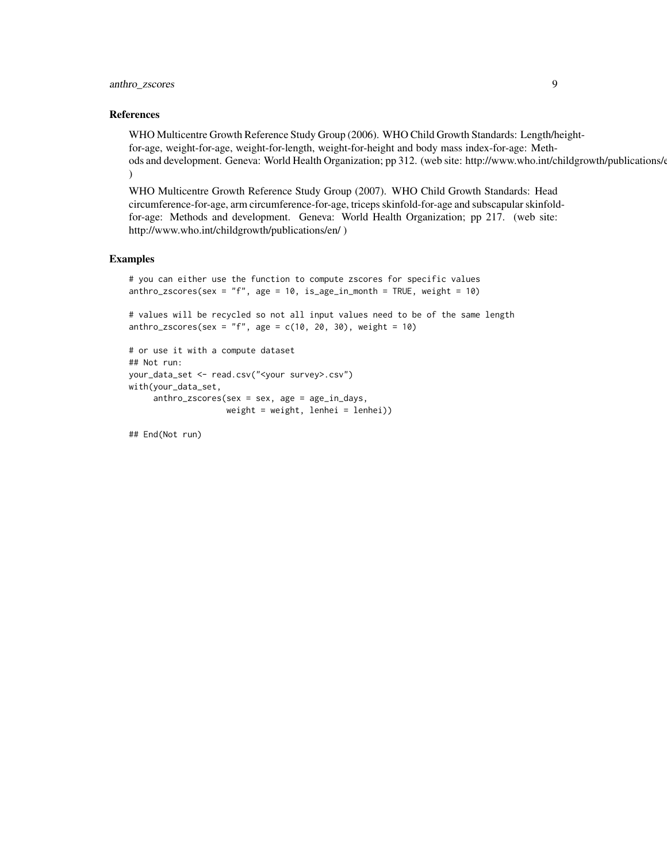#### References

WHO Multicentre Growth Reference Study Group (2006). WHO Child Growth Standards: Length/heightfor-age, weight-for-age, weight-for-length, weight-for-height and body mass index-for-age: Methods and development. Geneva: World Health Organization; pp 312. (web site: http://www.who.int/childgrowth/publications/en/  $\mathcal{L}$ 

WHO Multicentre Growth Reference Study Group (2007). WHO Child Growth Standards: Head circumference-for-age, arm circumference-for-age, triceps skinfold-for-age and subscapular skinfoldfor-age: Methods and development. Geneva: World Health Organization; pp 217. (web site: http://www.who.int/childgrowth/publications/en/ )

#### Examples

```
# you can either use the function to compute zscores for specific values
anthro_zscores(sex = "f", age = 10, is_age_in_month = TRUE, weight = 10)
```

```
# values will be recycled so not all input values need to be of the same length
anthro_zscores(sex = "f", age = c(10, 20, 30), weight = 10)
```

```
# or use it with a compute dataset
## Not run:
your_data_set <- read.csv("<your survey>.csv")
with(your_data_set,
     anthro_zscores(sex = sex, age = age_in_days,
                    weight = weight, lenhei = lenhei))
```
## End(Not run)